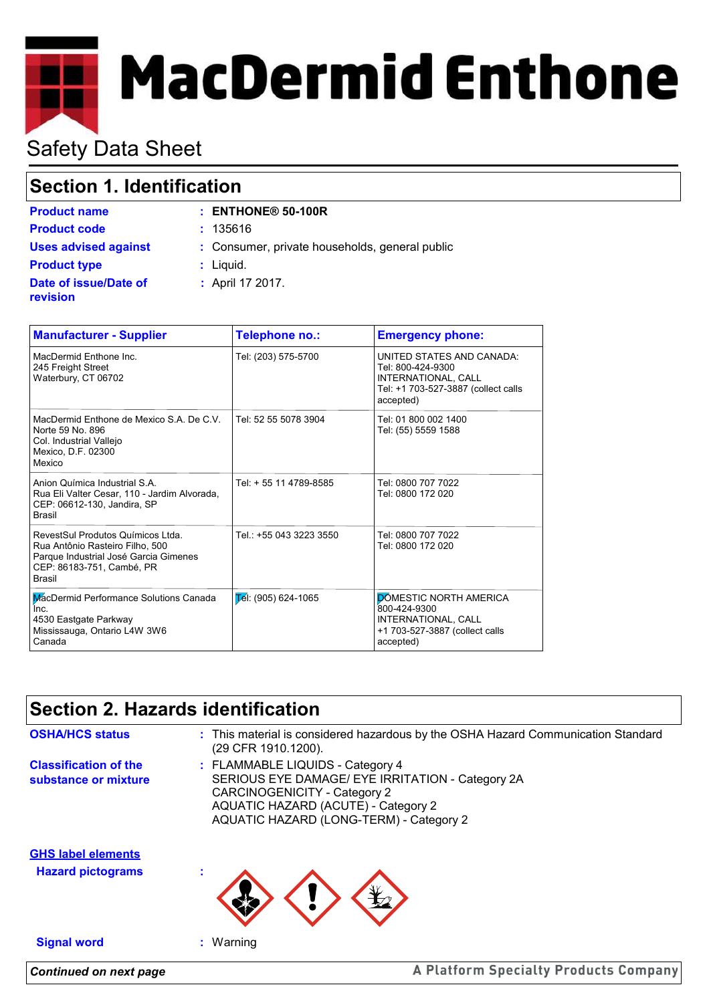# **MacDermid Enthone**

# Safety Data Sheet

# **Section 1. Identification**

| <b>Product name</b>                      | $:$ ENTHONE® 50-100R                           |
|------------------------------------------|------------------------------------------------|
| <b>Product code</b>                      | : 135616                                       |
| <b>Uses advised against</b>              | : Consumer, private households, general public |
| <b>Product type</b>                      | $:$ Liquid.                                    |
| Date of issue/Date of<br><b>revision</b> | : April 17 2017.                               |

| <b>Manufacturer - Supplier</b>                                                                                                                              | Telephone no.:                    | <b>Emergency phone:</b>                                                                                                   |
|-------------------------------------------------------------------------------------------------------------------------------------------------------------|-----------------------------------|---------------------------------------------------------------------------------------------------------------------------|
| MacDermid Enthone Inc.<br>245 Freight Street<br>Waterbury, CT 06702                                                                                         | Tel: (203) 575-5700               | UNITED STATES AND CANADA:<br>Tel: 800-424-9300<br>INTERNATIONAL, CALL<br>Tel: +1 703-527-3887 (collect calls<br>accepted) |
| MacDermid Enthone de Mexico S.A. De C.V.<br>Norte 59 No. 896<br>Col. Industrial Vallejo<br>Mexico, D.F. 02300<br>Mexico                                     | Tel: 52 55 5078 3904              | Tel: 01 800 002 1400<br>Tel: (55) 5559 1588                                                                               |
| Anion Química Industrial S.A.<br>Rua Eli Valter Cesar, 110 - Jardim Alvorada,<br>CEP: 06612-130, Jandira, SP<br><b>Brasil</b>                               | Tel: + 55 11 4789-8585            | Tel: 0800 707 7022<br>Tel: 0800 172 020                                                                                   |
| RevestSul Produtos Químicos Ltda.<br>Rua Antônio Rasteiro Filho, 500<br>Parque Industrial José Garcia Gimenes<br>CEP: 86183-751, Cambé, PR<br><b>Brasil</b> | Tel.: +55 043 3223 3550           | Tel: 0800 707 7022<br>Tel: 0800 172 020                                                                                   |
| MacDermid Performance Solutions Canada<br>Inc.<br>4530 Eastgate Parkway<br>Mississauga, Ontario L4W 3W6<br>Canada                                           | $\overline{E}$ el: (905) 624-1065 | DOMESTIC NORTH AMERICA<br>800-424-9300<br>INTERNATIONAL, CALL<br>+1 703-527-3887 (collect calls<br>accepted)              |

# **Section 2. Hazards identification**

| <b>OSHA/HCS status</b><br><b>Classification of the</b> | : This material is considered hazardous by the OSHA Hazard Communication Standard<br>(29 CFR 1910.1200).<br>: FLAMMABLE LIQUIDS - Category 4                       |  |
|--------------------------------------------------------|--------------------------------------------------------------------------------------------------------------------------------------------------------------------|--|
| substance or mixture                                   | SERIOUS EYE DAMAGE/ EYE IRRITATION - Category 2A<br>CARCINOGENICITY - Category 2<br>AQUATIC HAZARD (ACUTE) - Category 2<br>AQUATIC HAZARD (LONG-TERM) - Category 2 |  |
| <b>GHS label elements</b><br><b>Hazard pictograms</b>  |                                                                                                                                                                    |  |
| <b>Signal word</b>                                     | : Warning                                                                                                                                                          |  |
| <b>Continued on next page</b>                          | A Platform Specialty Products Company                                                                                                                              |  |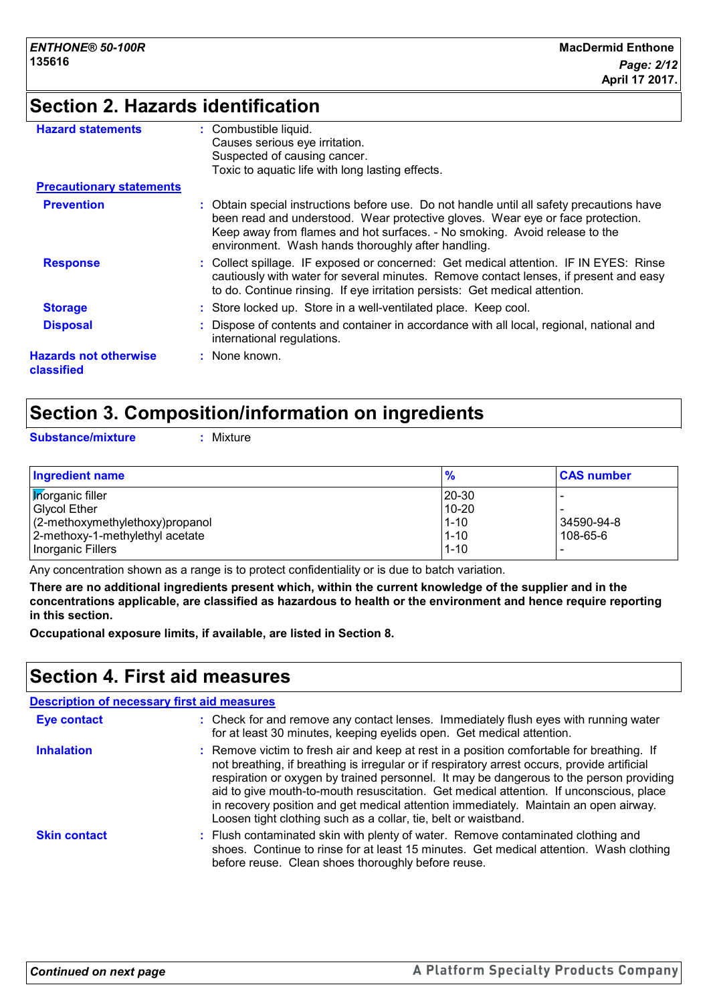# **Section 2. Hazards identification**

| <b>Hazard statements</b>                   | : Combustible liquid.                                                                                                                                                                                                                                                                                         |
|--------------------------------------------|---------------------------------------------------------------------------------------------------------------------------------------------------------------------------------------------------------------------------------------------------------------------------------------------------------------|
|                                            | Causes serious eye irritation.                                                                                                                                                                                                                                                                                |
|                                            | Suspected of causing cancer.                                                                                                                                                                                                                                                                                  |
|                                            | Toxic to aquatic life with long lasting effects.                                                                                                                                                                                                                                                              |
| <b>Precautionary statements</b>            |                                                                                                                                                                                                                                                                                                               |
| <b>Prevention</b>                          | Obtain special instructions before use. Do not handle until all safety precautions have<br>been read and understood. Wear protective gloves. Wear eye or face protection.<br>Keep away from flames and hot surfaces. - No smoking. Avoid release to the<br>environment. Wash hands thoroughly after handling. |
| <b>Response</b>                            | : Collect spillage. IF exposed or concerned: Get medical attention. IF IN EYES: Rinse<br>cautiously with water for several minutes. Remove contact lenses, if present and easy<br>to do. Continue rinsing. If eye irritation persists: Get medical attention.                                                 |
| <b>Storage</b>                             | : Store locked up. Store in a well-ventilated place. Keep cool.                                                                                                                                                                                                                                               |
| <b>Disposal</b>                            | : Dispose of contents and container in accordance with all local, regional, national and<br>international regulations.                                                                                                                                                                                        |
| <b>Hazards not otherwise</b><br>classified | $:$ None known.                                                                                                                                                                                                                                                                                               |

## **Section 3. Composition/information on ingredients**

**Substance/mixture :** Mixture

| <b>Ingredient name</b>          | $\frac{9}{6}$ | <b>CAS number</b> |
|---------------------------------|---------------|-------------------|
| <b>Korganic filler</b>          | 20-30         |                   |
| <b>Glycol Ether</b>             | $10 - 20$     |                   |
| (2-methoxymethylethoxy)propanol | $1 - 10$      | 34590-94-8        |
| 2-methoxy-1-methylethyl acetate | $1 - 10$      | 108-65-6          |
| Inorganic Fillers               | $1 - 10$      |                   |

Any concentration shown as a range is to protect confidentiality or is due to batch variation.

**There are no additional ingredients present which, within the current knowledge of the supplier and in the concentrations applicable, are classified as hazardous to health or the environment and hence require reporting in this section.**

**Occupational exposure limits, if available, are listed in Section 8.**

## **Section 4. First aid measures**

|                     | <b>Description of necessary first aid measures</b>                                                                                                                                                                                                                                                                                                                                                                                                                                                                                        |
|---------------------|-------------------------------------------------------------------------------------------------------------------------------------------------------------------------------------------------------------------------------------------------------------------------------------------------------------------------------------------------------------------------------------------------------------------------------------------------------------------------------------------------------------------------------------------|
| <b>Eye contact</b>  | : Check for and remove any contact lenses. Immediately flush eyes with running water<br>for at least 30 minutes, keeping eyelids open. Get medical attention.                                                                                                                                                                                                                                                                                                                                                                             |
| <b>Inhalation</b>   | : Remove victim to fresh air and keep at rest in a position comfortable for breathing. If<br>not breathing, if breathing is irregular or if respiratory arrest occurs, provide artificial<br>respiration or oxygen by trained personnel. It may be dangerous to the person providing<br>aid to give mouth-to-mouth resuscitation. Get medical attention. If unconscious, place<br>in recovery position and get medical attention immediately. Maintain an open airway.<br>Loosen tight clothing such as a collar, tie, belt or waistband. |
| <b>Skin contact</b> | : Flush contaminated skin with plenty of water. Remove contaminated clothing and<br>shoes. Continue to rinse for at least 15 minutes. Get medical attention. Wash clothing<br>before reuse. Clean shoes thoroughly before reuse.                                                                                                                                                                                                                                                                                                          |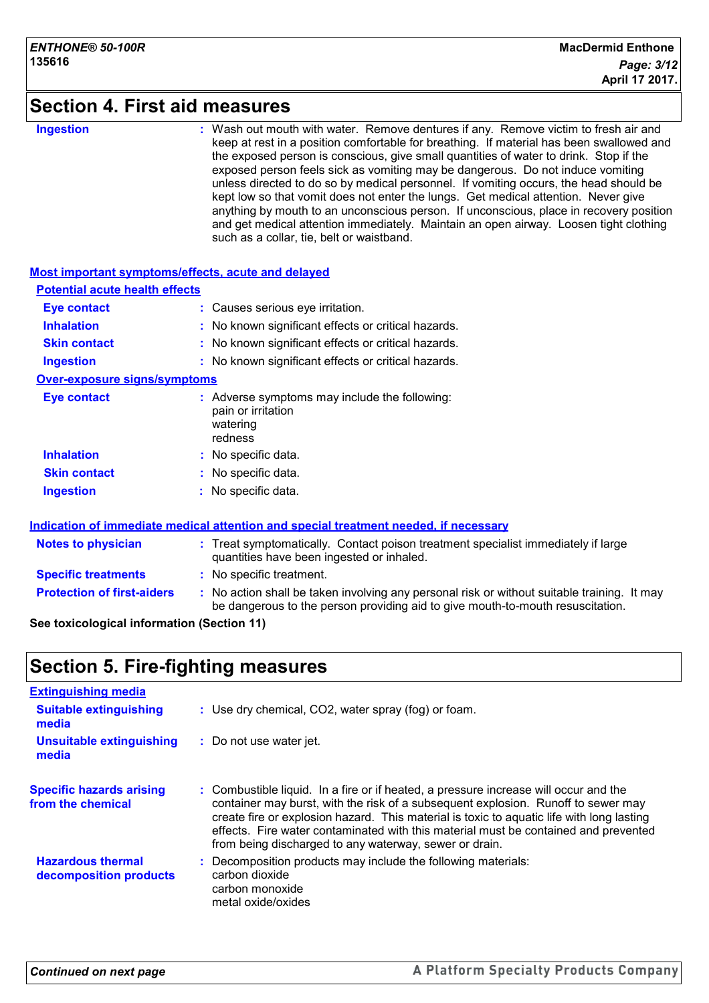### **Section 4. First aid measures**

#### **Ingestion :**

Wash out mouth with water. Remove dentures if any. Remove victim to fresh air and keep at rest in a position comfortable for breathing. If material has been swallowed and the exposed person is conscious, give small quantities of water to drink. Stop if the exposed person feels sick as vomiting may be dangerous. Do not induce vomiting unless directed to do so by medical personnel. If vomiting occurs, the head should be kept low so that vomit does not enter the lungs. Get medical attention. Never give anything by mouth to an unconscious person. If unconscious, place in recovery position and get medical attention immediately. Maintain an open airway. Loosen tight clothing such as a collar, tie, belt or waistband.

#### **Most important symptoms/effects, acute and delayed Inhalation :** No known significant effects or critical hazards. **Ingestion :** No known significant effects or critical hazards. **Skin contact :** No known significant effects or critical hazards. **Eye contact :** Causes serious eye irritation. **Over-exposure signs/symptoms Skin contact Ingestion Inhalation :** No specific data. No specific data. **:** No specific data. **: Eye contact :** Adverse symptoms may include the following: pain or irritation watering redness **Potential acute health effects**

#### **Indication of immediate medical attention and special treatment needed, if necessary**

| <b>Notes to physician</b>         | : Treat symptomatically. Contact poison treatment specialist immediately if large<br>quantities have been ingested or inhaled.                                                |  |
|-----------------------------------|-------------------------------------------------------------------------------------------------------------------------------------------------------------------------------|--|
| <b>Specific treatments</b>        | : No specific treatment.                                                                                                                                                      |  |
| <b>Protection of first-aiders</b> | : No action shall be taken involving any personal risk or without suitable training. It may<br>be dangerous to the person providing aid to give mouth-to-mouth resuscitation. |  |

#### **See toxicological information (Section 11)**

## **Section 5. Fire-fighting measures**

| <b>Extinguishing media</b>                           |                                                                                                                                                                                                                                                                                                                                                                                                                         |
|------------------------------------------------------|-------------------------------------------------------------------------------------------------------------------------------------------------------------------------------------------------------------------------------------------------------------------------------------------------------------------------------------------------------------------------------------------------------------------------|
| <b>Suitable extinguishing</b><br>media               | : Use dry chemical, CO2, water spray (fog) or foam.                                                                                                                                                                                                                                                                                                                                                                     |
| <b>Unsuitable extinguishing</b><br>media             | : Do not use water jet.                                                                                                                                                                                                                                                                                                                                                                                                 |
| <b>Specific hazards arising</b><br>from the chemical | : Combustible liquid. In a fire or if heated, a pressure increase will occur and the<br>container may burst, with the risk of a subsequent explosion. Runoff to sewer may<br>create fire or explosion hazard. This material is toxic to aquatic life with long lasting<br>effects. Fire water contaminated with this material must be contained and prevented<br>from being discharged to any waterway, sewer or drain. |
| <b>Hazardous thermal</b><br>decomposition products   | : Decomposition products may include the following materials:<br>carbon dioxide<br>carbon monoxide<br>metal oxide/oxides                                                                                                                                                                                                                                                                                                |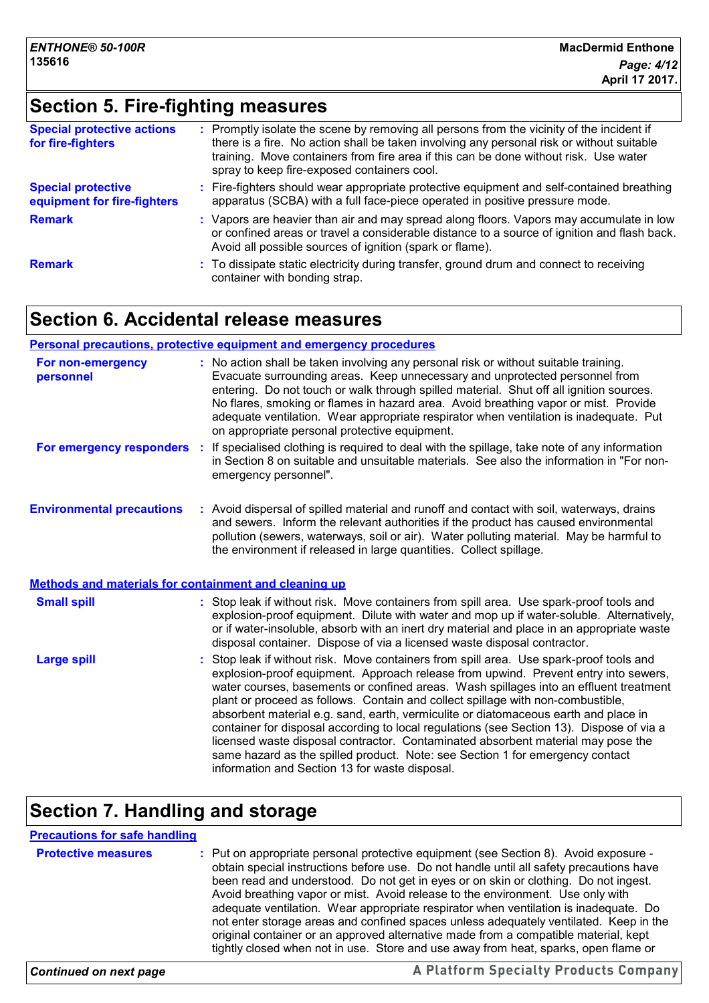# **Section 5. Fire-fighting measures**

| <b>Special protective actions</b><br>for fire-fighters   | : Promptly isolate the scene by removing all persons from the vicinity of the incident if<br>there is a fire. No action shall be taken involving any personal risk or without suitable<br>training. Move containers from fire area if this can be done without risk. Use water<br>spray to keep fire-exposed containers cool. |
|----------------------------------------------------------|-------------------------------------------------------------------------------------------------------------------------------------------------------------------------------------------------------------------------------------------------------------------------------------------------------------------------------|
| <b>Special protective</b><br>equipment for fire-fighters | : Fire-fighters should wear appropriate protective equipment and self-contained breathing<br>apparatus (SCBA) with a full face-piece operated in positive pressure mode.                                                                                                                                                      |
| <b>Remark</b>                                            | : Vapors are heavier than air and may spread along floors. Vapors may accumulate in low<br>or confined areas or travel a considerable distance to a source of ignition and flash back.<br>Avoid all possible sources of ignition (spark or flame).                                                                            |
| <b>Remark</b>                                            | : To dissipate static electricity during transfer, ground drum and connect to receiving<br>container with bonding strap.                                                                                                                                                                                                      |

## **Section 6. Accidental release measures**

#### **Personal precautions, protective equipment and emergency procedures**

| For non-emergency<br>personnel                               |    | : No action shall be taken involving any personal risk or without suitable training.<br>Evacuate surrounding areas. Keep unnecessary and unprotected personnel from<br>entering. Do not touch or walk through spilled material. Shut off all ignition sources.<br>No flares, smoking or flames in hazard area. Avoid breathing vapor or mist. Provide<br>adequate ventilation. Wear appropriate respirator when ventilation is inadequate. Put<br>on appropriate personal protective equipment.                                                                                                                                                                                                                                                                    |
|--------------------------------------------------------------|----|--------------------------------------------------------------------------------------------------------------------------------------------------------------------------------------------------------------------------------------------------------------------------------------------------------------------------------------------------------------------------------------------------------------------------------------------------------------------------------------------------------------------------------------------------------------------------------------------------------------------------------------------------------------------------------------------------------------------------------------------------------------------|
| For emergency responders                                     | ÷. | If specialised clothing is required to deal with the spillage, take note of any information<br>in Section 8 on suitable and unsuitable materials. See also the information in "For non-<br>emergency personnel".                                                                                                                                                                                                                                                                                                                                                                                                                                                                                                                                                   |
| <b>Environmental precautions</b>                             |    | : Avoid dispersal of spilled material and runoff and contact with soil, waterways, drains<br>and sewers. Inform the relevant authorities if the product has caused environmental<br>pollution (sewers, waterways, soil or air). Water polluting material. May be harmful to<br>the environment if released in large quantities. Collect spillage.                                                                                                                                                                                                                                                                                                                                                                                                                  |
| <b>Methods and materials for containment and cleaning up</b> |    |                                                                                                                                                                                                                                                                                                                                                                                                                                                                                                                                                                                                                                                                                                                                                                    |
| <b>Small spill</b>                                           |    | : Stop leak if without risk. Move containers from spill area. Use spark-proof tools and<br>explosion-proof equipment. Dilute with water and mop up if water-soluble. Alternatively,<br>or if water-insoluble, absorb with an inert dry material and place in an appropriate waste<br>disposal container. Dispose of via a licensed waste disposal contractor.                                                                                                                                                                                                                                                                                                                                                                                                      |
| <b>Large spill</b>                                           |    | Stop leak if without risk. Move containers from spill area. Use spark-proof tools and<br>explosion-proof equipment. Approach release from upwind. Prevent entry into sewers,<br>water courses, basements or confined areas. Wash spillages into an effluent treatment<br>plant or proceed as follows. Contain and collect spillage with non-combustible,<br>absorbent material e.g. sand, earth, vermiculite or diatomaceous earth and place in<br>container for disposal according to local regulations (see Section 13). Dispose of via a<br>licensed waste disposal contractor. Contaminated absorbent material may pose the<br>same hazard as the spilled product. Note: see Section 1 for emergency contact<br>information and Section 13 for waste disposal. |

# **Section 7. Handling and storage**

| <b>Precautions for safe handling</b> |                                                                                                                                                                                                                                                                                                                                                                                                                                                                                                                                                                                                                                                                                                                         |
|--------------------------------------|-------------------------------------------------------------------------------------------------------------------------------------------------------------------------------------------------------------------------------------------------------------------------------------------------------------------------------------------------------------------------------------------------------------------------------------------------------------------------------------------------------------------------------------------------------------------------------------------------------------------------------------------------------------------------------------------------------------------------|
| <b>Protective measures</b>           | : Put on appropriate personal protective equipment (see Section 8). Avoid exposure -<br>obtain special instructions before use. Do not handle until all safety precautions have<br>been read and understood. Do not get in eyes or on skin or clothing. Do not ingest.<br>Avoid breathing vapor or mist. Avoid release to the environment. Use only with<br>adequate ventilation. Wear appropriate respirator when ventilation is inadequate. Do<br>not enter storage areas and confined spaces unless adequately ventilated. Keep in the<br>original container or an approved alternative made from a compatible material, kept<br>tightly closed when not in use. Store and use away from heat, sparks, open flame or |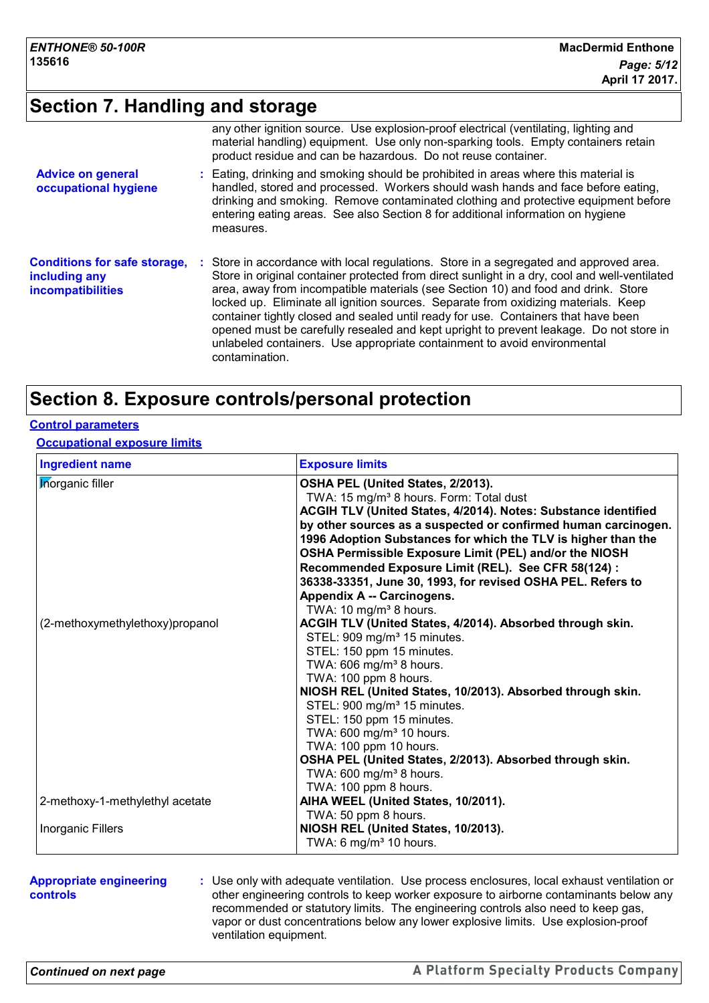## **Section 7. Handling and storage**

|                                                                           | any other ignition source. Use explosion-proof electrical (ventilating, lighting and<br>material handling) equipment. Use only non-sparking tools. Empty containers retain<br>product residue and can be hazardous. Do not reuse container.                                                                                                                                                                                                                                                                                                                                                                                                      |
|---------------------------------------------------------------------------|--------------------------------------------------------------------------------------------------------------------------------------------------------------------------------------------------------------------------------------------------------------------------------------------------------------------------------------------------------------------------------------------------------------------------------------------------------------------------------------------------------------------------------------------------------------------------------------------------------------------------------------------------|
| <b>Advice on general</b><br>occupational hygiene                          | : Eating, drinking and smoking should be prohibited in areas where this material is<br>handled, stored and processed. Workers should wash hands and face before eating,<br>drinking and smoking. Remove contaminated clothing and protective equipment before<br>entering eating areas. See also Section 8 for additional information on hygiene<br>measures.                                                                                                                                                                                                                                                                                    |
| <b>Conditions for safe storage,</b><br>including any<br>incompatibilities | : Store in accordance with local regulations. Store in a segregated and approved area.<br>Store in original container protected from direct sunlight in a dry, cool and well-ventilated<br>area, away from incompatible materials (see Section 10) and food and drink. Store<br>locked up. Eliminate all ignition sources. Separate from oxidizing materials. Keep<br>container tightly closed and sealed until ready for use. Containers that have been<br>opened must be carefully resealed and kept upright to prevent leakage. Do not store in<br>unlabeled containers. Use appropriate containment to avoid environmental<br>contamination. |

## **Section 8. Exposure controls/personal protection**

#### **Control parameters**

**Occupational exposure limits**

| <b>Ingredient name</b>          | <b>Exposure limits</b>                                                                                                                                                                                                                                                                                                                                                                                                                                                                                                                            |
|---------------------------------|---------------------------------------------------------------------------------------------------------------------------------------------------------------------------------------------------------------------------------------------------------------------------------------------------------------------------------------------------------------------------------------------------------------------------------------------------------------------------------------------------------------------------------------------------|
| <b>Inorganic filler</b>         | OSHA PEL (United States, 2/2013).<br>TWA: 15 mg/m <sup>3</sup> 8 hours. Form: Total dust<br><b>ACGIH TLV (United States, 4/2014). Notes: Substance identified</b><br>by other sources as a suspected or confirmed human carcinogen.<br>1996 Adoption Substances for which the TLV is higher than the<br>OSHA Permissible Exposure Limit (PEL) and/or the NIOSH<br>Recommended Exposure Limit (REL). See CFR 58(124) :<br>36338-33351, June 30, 1993, for revised OSHA PEL. Refers to<br>Appendix A -- Carcinogens.                                |
| (2-methoxymethylethoxy)propanol | TWA: 10 mg/m <sup>3</sup> 8 hours.<br>ACGIH TLV (United States, 4/2014). Absorbed through skin.<br>STEL: 909 mg/m <sup>3</sup> 15 minutes.<br>STEL: 150 ppm 15 minutes.<br>TWA: 606 mg/m <sup>3</sup> 8 hours.<br>TWA: 100 ppm 8 hours.<br>NIOSH REL (United States, 10/2013). Absorbed through skin.<br>STEL: 900 mg/m <sup>3</sup> 15 minutes.<br>STEL: 150 ppm 15 minutes.<br>TWA: 600 mg/m <sup>3</sup> 10 hours.<br>TWA: 100 ppm 10 hours.<br>OSHA PEL (United States, 2/2013). Absorbed through skin.<br>TWA: $600 \text{ mg/m}^3$ 8 hours. |
| 2-methoxy-1-methylethyl acetate | TWA: 100 ppm 8 hours.<br>AIHA WEEL (United States, 10/2011).<br>TWA: 50 ppm 8 hours.                                                                                                                                                                                                                                                                                                                                                                                                                                                              |
| Inorganic Fillers               | NIOSH REL (United States, 10/2013).<br>TWA: 6 mg/m <sup>3</sup> 10 hours.                                                                                                                                                                                                                                                                                                                                                                                                                                                                         |

#### **Appropriate engineering controls**

**:** Use only with adequate ventilation. Use process enclosures, local exhaust ventilation or other engineering controls to keep worker exposure to airborne contaminants below any recommended or statutory limits. The engineering controls also need to keep gas, vapor or dust concentrations below any lower explosive limits. Use explosion-proof ventilation equipment.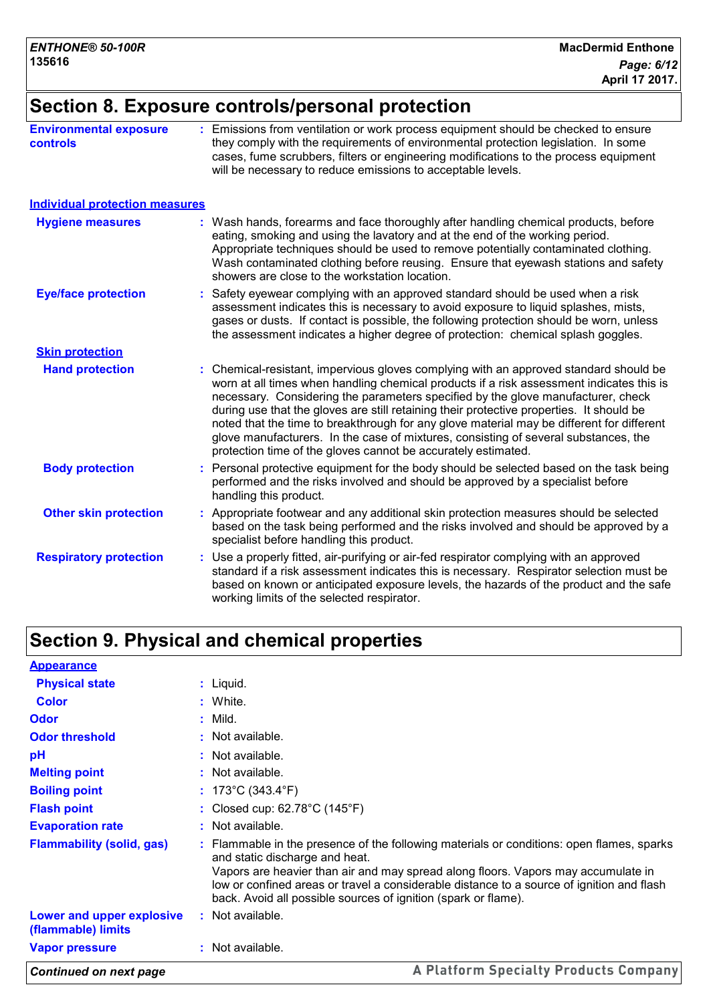# **Section 8. Exposure controls/personal protection**

| <b>Environmental exposure</b><br><b>controls</b> | : Emissions from ventilation or work process equipment should be checked to ensure<br>they comply with the requirements of environmental protection legislation. In some<br>cases, fume scrubbers, filters or engineering modifications to the process equipment<br>will be necessary to reduce emissions to acceptable levels.                                                                                                                                                                                                                                                                                        |
|--------------------------------------------------|------------------------------------------------------------------------------------------------------------------------------------------------------------------------------------------------------------------------------------------------------------------------------------------------------------------------------------------------------------------------------------------------------------------------------------------------------------------------------------------------------------------------------------------------------------------------------------------------------------------------|
| <b>Individual protection measures</b>            |                                                                                                                                                                                                                                                                                                                                                                                                                                                                                                                                                                                                                        |
| <b>Hygiene measures</b>                          | : Wash hands, forearms and face thoroughly after handling chemical products, before<br>eating, smoking and using the lavatory and at the end of the working period.<br>Appropriate techniques should be used to remove potentially contaminated clothing.<br>Wash contaminated clothing before reusing. Ensure that eyewash stations and safety<br>showers are close to the workstation location.                                                                                                                                                                                                                      |
| <b>Eye/face protection</b>                       | Safety eyewear complying with an approved standard should be used when a risk<br>assessment indicates this is necessary to avoid exposure to liquid splashes, mists,<br>gases or dusts. If contact is possible, the following protection should be worn, unless<br>the assessment indicates a higher degree of protection: chemical splash goggles.                                                                                                                                                                                                                                                                    |
| <b>Skin protection</b>                           |                                                                                                                                                                                                                                                                                                                                                                                                                                                                                                                                                                                                                        |
| <b>Hand protection</b>                           | : Chemical-resistant, impervious gloves complying with an approved standard should be<br>worn at all times when handling chemical products if a risk assessment indicates this is<br>necessary. Considering the parameters specified by the glove manufacturer, check<br>during use that the gloves are still retaining their protective properties. It should be<br>noted that the time to breakthrough for any glove material may be different for different<br>glove manufacturers. In the case of mixtures, consisting of several substances, the<br>protection time of the gloves cannot be accurately estimated. |
| <b>Body protection</b>                           | Personal protective equipment for the body should be selected based on the task being<br>performed and the risks involved and should be approved by a specialist before<br>handling this product.                                                                                                                                                                                                                                                                                                                                                                                                                      |
| <b>Other skin protection</b>                     | : Appropriate footwear and any additional skin protection measures should be selected<br>based on the task being performed and the risks involved and should be approved by a<br>specialist before handling this product.                                                                                                                                                                                                                                                                                                                                                                                              |
| <b>Respiratory protection</b>                    | Use a properly fitted, air-purifying or air-fed respirator complying with an approved<br>standard if a risk assessment indicates this is necessary. Respirator selection must be<br>based on known or anticipated exposure levels, the hazards of the product and the safe<br>working limits of the selected respirator.                                                                                                                                                                                                                                                                                               |

# **Section 9. Physical and chemical properties**

| <b>Appearance</b>                               |                                                                                                                                                                                                                                                                                                                                                                                 |
|-------------------------------------------------|---------------------------------------------------------------------------------------------------------------------------------------------------------------------------------------------------------------------------------------------------------------------------------------------------------------------------------------------------------------------------------|
| <b>Physical state</b>                           | $:$ Liquid.                                                                                                                                                                                                                                                                                                                                                                     |
| <b>Color</b>                                    | : White.                                                                                                                                                                                                                                                                                                                                                                        |
| Odor                                            | : Mild.                                                                                                                                                                                                                                                                                                                                                                         |
| <b>Odor threshold</b>                           | $:$ Not available.                                                                                                                                                                                                                                                                                                                                                              |
| pH                                              | $:$ Not available.                                                                                                                                                                                                                                                                                                                                                              |
| <b>Melting point</b>                            | : Not available.                                                                                                                                                                                                                                                                                                                                                                |
| <b>Boiling point</b>                            | : 173°C (343.4°F)                                                                                                                                                                                                                                                                                                                                                               |
| <b>Flash point</b>                              | : Closed cup: $62.78^{\circ}$ C (145 $^{\circ}$ F)                                                                                                                                                                                                                                                                                                                              |
| <b>Evaporation rate</b>                         | : Not available.                                                                                                                                                                                                                                                                                                                                                                |
| <b>Flammability (solid, gas)</b>                | : Flammable in the presence of the following materials or conditions: open flames, sparks<br>and static discharge and heat.<br>Vapors are heavier than air and may spread along floors. Vapors may accumulate in<br>low or confined areas or travel a considerable distance to a source of ignition and flash<br>back. Avoid all possible sources of ignition (spark or flame). |
| Lower and upper explosive<br>(flammable) limits | : Not available.                                                                                                                                                                                                                                                                                                                                                                |
| <b>Vapor pressure</b>                           | : Not available.                                                                                                                                                                                                                                                                                                                                                                |
| Continued on next page                          | A Platform Specialty Products Company                                                                                                                                                                                                                                                                                                                                           |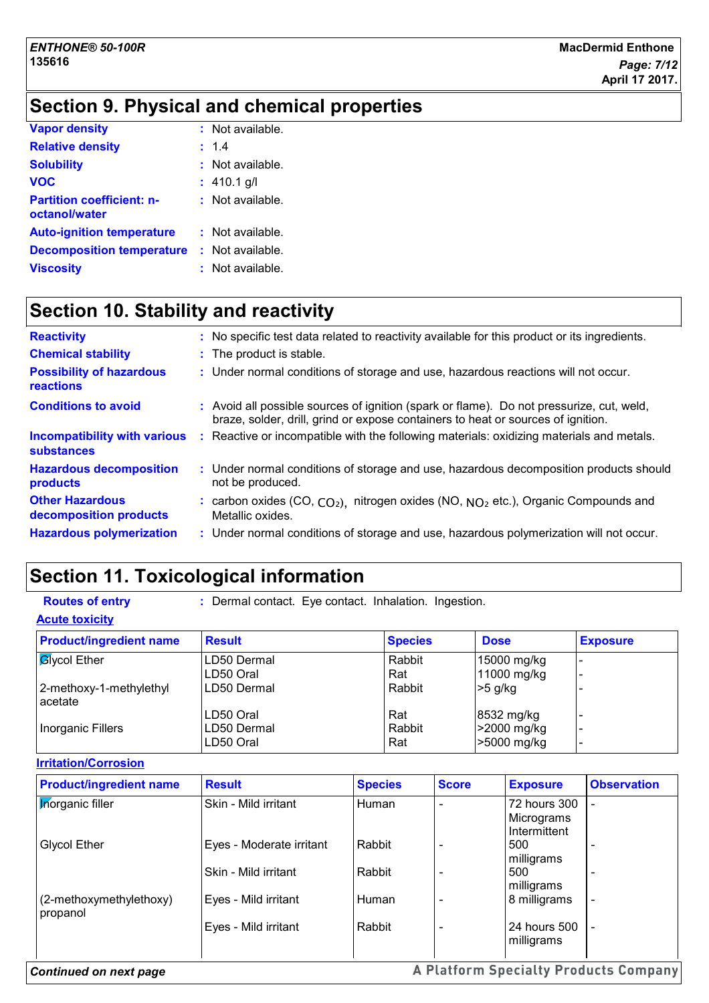# **Section 9. Physical and chemical properties**

| <b>Vapor density</b>                              | $:$ Not available. |
|---------------------------------------------------|--------------------|
| <b>Relative density</b>                           | : 1.4              |
| <b>Solubility</b>                                 | $:$ Not available. |
| <b>VOC</b>                                        | $: 410.1$ g/l      |
| <b>Partition coefficient: n-</b><br>octanol/water | : Not available.   |
| <b>Auto-ignition temperature</b>                  | $:$ Not available. |
| <b>Decomposition temperature</b>                  | : Not available.   |
| <b>Viscosity</b>                                  | : Not available.   |

# **Section 10. Stability and reactivity**

| <b>Reactivity</b>                                        | : No specific test data related to reactivity available for this product or its ingredients.                                                                                 |
|----------------------------------------------------------|------------------------------------------------------------------------------------------------------------------------------------------------------------------------------|
| <b>Chemical stability</b>                                | : The product is stable.                                                                                                                                                     |
| <b>Possibility of hazardous</b><br><b>reactions</b>      | : Under normal conditions of storage and use, hazardous reactions will not occur.                                                                                            |
| <b>Conditions to avoid</b>                               | : Avoid all possible sources of ignition (spark or flame). Do not pressurize, cut, weld,<br>braze, solder, drill, grind or expose containers to heat or sources of ignition. |
| <b>Incompatibility with various</b><br><b>substances</b> | : Reactive or incompatible with the following materials: oxidizing materials and metals.                                                                                     |
| <b>Hazardous decomposition</b><br>products               | : Under normal conditions of storage and use, hazardous decomposition products should<br>not be produced.                                                                    |
| <b>Other Hazardous</b><br>decomposition products         | : carbon oxides $(CO, CO2)$ , nitrogen oxides $(NO, NO2 etc.)$ , Organic Compounds and<br>Metallic oxides.                                                                   |
| <b>Hazardous polymerization</b>                          | : Under normal conditions of storage and use, hazardous polymerization will not occur.                                                                                       |
|                                                          |                                                                                                                                                                              |

# **Section 11. Toxicological information**

| <b>Routes of entry</b> | Dermal contact. Eye contact. Inhalation. Ingestion. |  |  |
|------------------------|-----------------------------------------------------|--|--|
|                        |                                                     |  |  |

| <b>Product/ingredient name</b>     | <b>Result</b> | <b>Species</b> | <b>Dose</b> | <b>Exposure</b> |
|------------------------------------|---------------|----------------|-------------|-----------------|
| <b>B</b> ycol Ether                | LD50 Dermal   | Rabbit         | 15000 mg/kg |                 |
|                                    | LD50 Oral     | Rat            | 11000 mg/kg |                 |
| 2-methoxy-1-methylethyl<br>acetate | LD50 Dermal   | Rabbit         | $>5$ g/kg   |                 |
|                                    | LD50 Oral     | Rat            | 8532 mg/kg  |                 |
| Inorganic Fillers                  | LD50 Dermal   | Rabbit         | >2000 mg/kg |                 |
|                                    | LD50 Oral     | Rat            | >5000 mg/kg |                 |

#### **Irritation/Corrosion**

**Acute toxicity**

| <b>Product/ingredient name</b>      | <b>Result</b>            | <b>Species</b> | <b>Score</b> | <b>Exposure</b>                            | <b>Observation</b>       |
|-------------------------------------|--------------------------|----------------|--------------|--------------------------------------------|--------------------------|
| <b>Inorganic filler</b>             | Skin - Mild irritant     | Human          |              | 72 hours 300<br>Micrograms<br>Intermittent |                          |
| <b>Glycol Ether</b>                 | Eyes - Moderate irritant | Rabbit         |              | 500<br>milligrams                          |                          |
|                                     | Skin - Mild irritant     | Rabbit         |              | 500<br>milligrams                          |                          |
| (2-methoxymethylethoxy)<br>propanol | Eyes - Mild irritant     | Human          |              | 8 milligrams                               | $\overline{\phantom{a}}$ |
|                                     | Eyes - Mild irritant     | Rabbit         |              | 24 hours 500<br>milligrams                 |                          |

#### *Continued on next page*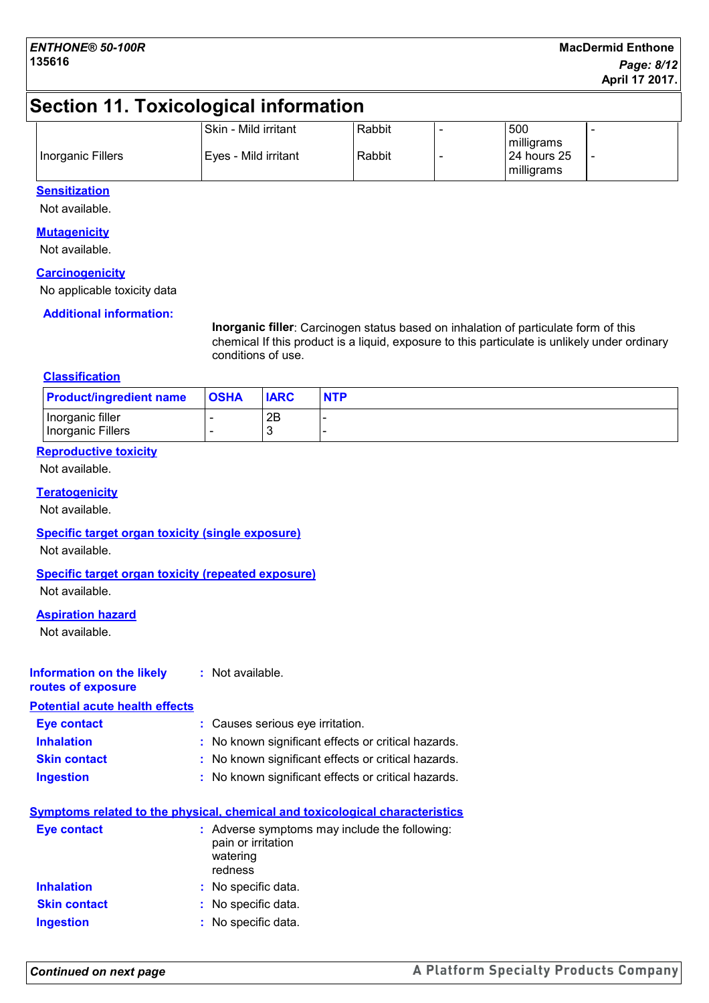# **Section 11. Toxicological information**

|                   | Skin - Mild irritant | Rabbit | 500                                       |  |
|-------------------|----------------------|--------|-------------------------------------------|--|
| Inorganic Fillers | Eyes - Mild irritant | Rabbit | milligrams<br>l 24 hours 25<br>milligrams |  |

#### **Sensitization**

Not available.

#### **Mutagenicity**

Not available.

#### **Carcinogenicity**

No applicable toxicity data

#### **Additional information:**

**Inorganic filler**: Carcinogen status based on inhalation of particulate form of this chemical If this product is a liquid, exposure to this particulate is unlikely under ordinary conditions of use.

#### **Classification**

| <b>Product/ingredient name</b> | <b>OSHA</b> | <b>IARC</b> | <b>NTP</b> |
|--------------------------------|-------------|-------------|------------|
| Inorganic filler               |             | 2B          |            |
| Inorganic Fillers              |             |             |            |

#### **Reproductive toxicity**

Not available.

#### **Teratogenicity**

Not available.

#### **Specific target organ toxicity (single exposure)**

Not available.

#### **Specific target organ toxicity (repeated exposure)**

Not available.

#### **Aspiration hazard**

Not available.

#### **Information on the likely :** Not available.

**routes of exposure Potential acute health effects**

| Potential acute nealth effects |                                                     |
|--------------------------------|-----------------------------------------------------|
| <b>Eye contact</b>             | : Causes serious eye irritation.                    |
| <b>Inhalation</b>              | : No known significant effects or critical hazards. |
| <b>Skin contact</b>            | : No known significant effects or critical hazards. |
| <b>Ingestion</b>               | : No known significant effects or critical hazards. |
|                                |                                                     |

|                     | Symptoms related to the physical, chemical and toxicological characteristics               |
|---------------------|--------------------------------------------------------------------------------------------|
| <b>Eye contact</b>  | : Adverse symptoms may include the following:<br>pain or irritation<br>watering<br>redness |
| <b>Inhalation</b>   | : No specific data.                                                                        |
| <b>Skin contact</b> | : No specific data.                                                                        |
| <b>Ingestion</b>    | : No specific data.                                                                        |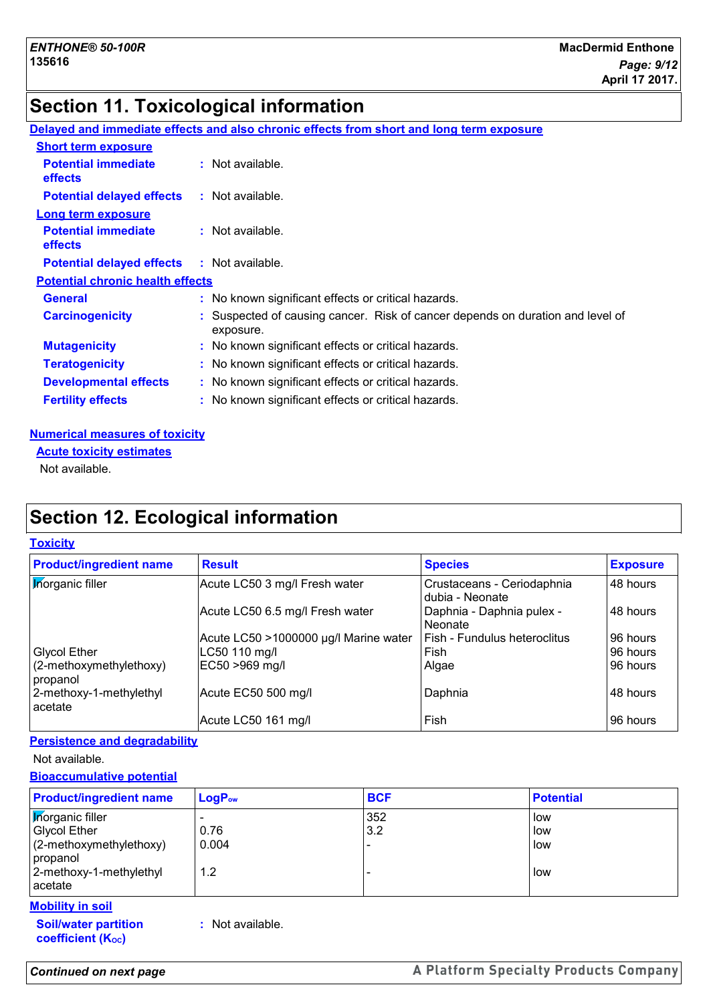# **Section 11. Toxicological information**

|                                                   | Delayed and immediate effects and also chronic effects from short and long term exposure    |
|---------------------------------------------------|---------------------------------------------------------------------------------------------|
| <b>Short term exposure</b>                        |                                                                                             |
| <b>Potential immediate</b><br><b>effects</b>      | : Not available.                                                                            |
| <b>Potential delayed effects</b>                  | : Not available.                                                                            |
| <b>Long term exposure</b>                         |                                                                                             |
| <b>Potential immediate</b><br>effects             | : Not available.                                                                            |
| <b>Potential delayed effects : Not available.</b> |                                                                                             |
| <b>Potential chronic health effects</b>           |                                                                                             |
| <b>General</b>                                    | : No known significant effects or critical hazards.                                         |
| <b>Carcinogenicity</b>                            | : Suspected of causing cancer. Risk of cancer depends on duration and level of<br>exposure. |
| <b>Mutagenicity</b>                               | : No known significant effects or critical hazards.                                         |
| <b>Teratogenicity</b>                             | : No known significant effects or critical hazards.                                         |
| <b>Developmental effects</b>                      | : No known significant effects or critical hazards.                                         |
| <b>Fertility effects</b>                          | : No known significant effects or critical hazards.                                         |

#### **Numerical measures of toxicity**

**Acute toxicity estimates**

Not available.

# **Section 12. Ecological information**

#### **Toxicity**

| <b>Product/ingredient name</b>         | <b>Result</b>                         | <b>Species</b>                                | <b>Exposure</b> |
|----------------------------------------|---------------------------------------|-----------------------------------------------|-----------------|
| <b>Morganic filler</b>                 | Acute LC50 3 mg/l Fresh water         | Crustaceans - Ceriodaphnia<br>dubia - Neonate | 48 hours        |
|                                        | Acute LC50 6.5 mg/l Fresh water       | Daphnia - Daphnia pulex -<br>Neonate          | 48 hours        |
|                                        | Acute LC50 >1000000 µg/l Marine water | Fish - Fundulus heteroclitus                  | 96 hours        |
| <b>Glycol Ether</b>                    | LC50 110 mg/l                         | Fish                                          | 96 hours        |
| $(2$ -methoxymethylethoxy)<br>propanol | EC50 >969 mg/l                        | Algae                                         | 96 hours        |
| 2-methoxy-1-methylethyl<br>acetate     | Acute EC50 500 mg/l                   | Daphnia                                       | 48 hours        |
|                                        | Acute LC50 161 mg/l                   | Fish                                          | 96 hours        |

#### **Persistence and degradability**

Not available.

#### **Bioaccumulative potential**

| <b>Product/ingredient name</b>      | $LogP_{ow}$ | <b>BCF</b> | <b>Potential</b> |
|-------------------------------------|-------------|------------|------------------|
| <b>Morganic filler</b>              |             | 352        | low              |
| <b>Glycol Ether</b>                 | 0.76        | 3.2        | low              |
| (2-methoxymethylethoxy)<br>propanol | 0.004       |            | low              |
| 2-methoxy-1-methylethyl<br>acetate  | 1.2         |            | low              |

#### **Mobility in soil**

**Soil/water partition coefficient (Koc)** 

**:** Not available.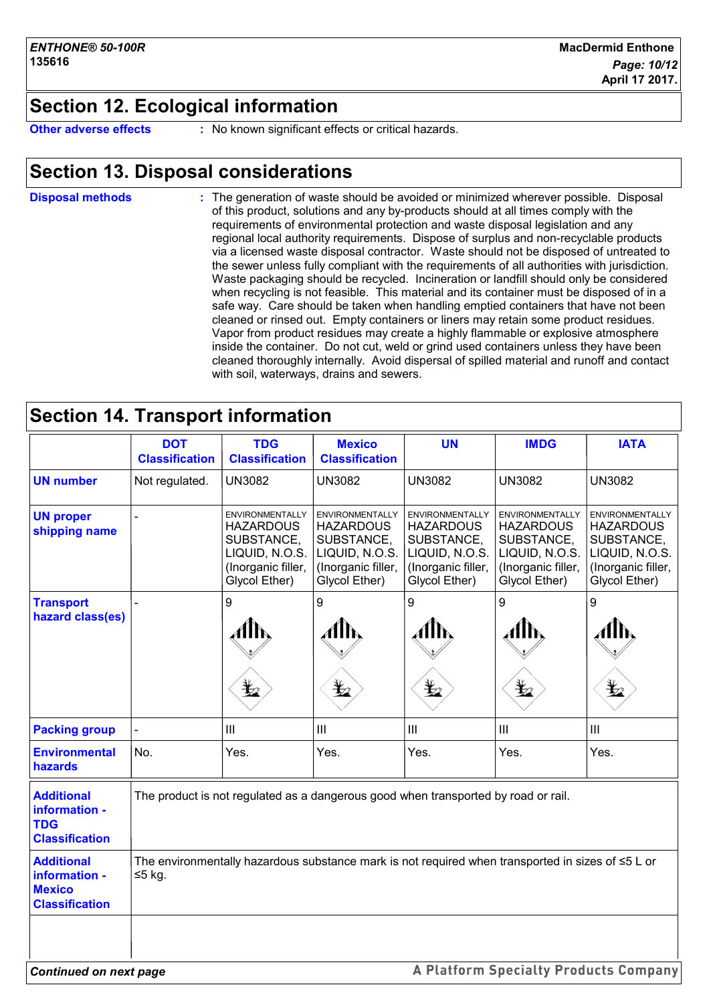## **Section 12. Ecological information**

**Other adverse effects** : No known significant effects or critical hazards.

## **Section 13. Disposal considerations**

The generation of waste should be avoided or minimized wherever possible. Disposal of this product, solutions and any by-products should at all times comply with the requirements of environmental protection and waste disposal legislation and any regional local authority requirements. Dispose of surplus and non-recyclable products via a licensed waste disposal contractor. Waste should not be disposed of untreated to the sewer unless fully compliant with the requirements of all authorities with jurisdiction. Waste packaging should be recycled. Incineration or landfill should only be considered when recycling is not feasible. This material and its container must be disposed of in a safe way. Care should be taken when handling emptied containers that have not been cleaned or rinsed out. Empty containers or liners may retain some product residues. Vapor from product residues may create a highly flammable or explosive atmosphere inside the container. Do not cut, weld or grind used containers unless they have been cleaned thoroughly internally. Avoid dispersal of spilled material and runoff and contact with soil, waterways, drains and sewers. **Disposal methods :**

## **Section 14. Transport information**

|                                                                              | <b>DOT</b><br><b>Classification</b>                                                                               | <b>TDG</b><br><b>Classification</b>                                                                               | <b>Mexico</b><br><b>Classification</b>                                                                            | <b>UN</b>                                                                                                         | <b>IMDG</b>                                                                                                       | <b>IATA</b>                                                                                                       |
|------------------------------------------------------------------------------|-------------------------------------------------------------------------------------------------------------------|-------------------------------------------------------------------------------------------------------------------|-------------------------------------------------------------------------------------------------------------------|-------------------------------------------------------------------------------------------------------------------|-------------------------------------------------------------------------------------------------------------------|-------------------------------------------------------------------------------------------------------------------|
| <b>UN number</b>                                                             | Not regulated.                                                                                                    | <b>UN3082</b>                                                                                                     | <b>UN3082</b>                                                                                                     | <b>UN3082</b>                                                                                                     | <b>UN3082</b>                                                                                                     | <b>UN3082</b>                                                                                                     |
| <b>UN proper</b><br>shipping name                                            |                                                                                                                   | <b>ENVIRONMENTALLY</b><br><b>HAZARDOUS</b><br>SUBSTANCE,<br>LIQUID, N.O.S.<br>(Inorganic filler,<br>Glycol Ether) | <b>ENVIRONMENTALLY</b><br><b>HAZARDOUS</b><br>SUBSTANCE,<br>LIQUID, N.O.S.<br>(Inorganic filler,<br>Glycol Ether) | <b>ENVIRONMENTALLY</b><br><b>HAZARDOUS</b><br>SUBSTANCE,<br>LIQUID, N.O.S.<br>(Inorganic filler,<br>Glycol Ether) | <b>ENVIRONMENTALLY</b><br><b>HAZARDOUS</b><br>SUBSTANCE,<br>LIQUID, N.O.S.<br>(Inorganic filler,<br>Glycol Ether) | <b>ENVIRONMENTALLY</b><br><b>HAZARDOUS</b><br>SUBSTANCE,<br>LIQUID, N.O.S.<br>(Inorganic filler,<br>Glycol Ether) |
| <b>Transport</b><br>hazard class(es)                                         |                                                                                                                   | 9<br>$\bigstar$                                                                                                   | 9<br>AIN<br>$\bigstar$                                                                                            | 9<br>AlN<br>$\bigstar$                                                                                            | 9<br>Allh<br>$\bigstar$                                                                                           | 9<br>AllN<br>$\bigstar$                                                                                           |
| <b>Packing group</b>                                                         |                                                                                                                   | $\mathbf{III}$                                                                                                    | III                                                                                                               | III                                                                                                               | $\mathop{\rm III}$                                                                                                | $\mathop{\rm III}$                                                                                                |
| <b>Environmental</b><br>hazards                                              | No.                                                                                                               | Yes.                                                                                                              | Yes.                                                                                                              | Yes.                                                                                                              | Yes.                                                                                                              | Yes.                                                                                                              |
| <b>Additional</b><br>information -<br><b>TDG</b><br><b>Classification</b>    | The product is not regulated as a dangerous good when transported by road or rail.                                |                                                                                                                   |                                                                                                                   |                                                                                                                   |                                                                                                                   |                                                                                                                   |
| <b>Additional</b><br>information -<br><b>Mexico</b><br><b>Classification</b> | The environmentally hazardous substance mark is not required when transported in sizes of $\leq 5$ L or<br>≤5 kg. |                                                                                                                   |                                                                                                                   |                                                                                                                   |                                                                                                                   |                                                                                                                   |
| <b>Continued on next page</b>                                                |                                                                                                                   |                                                                                                                   |                                                                                                                   |                                                                                                                   | A Platform Specialty Products Company                                                                             |                                                                                                                   |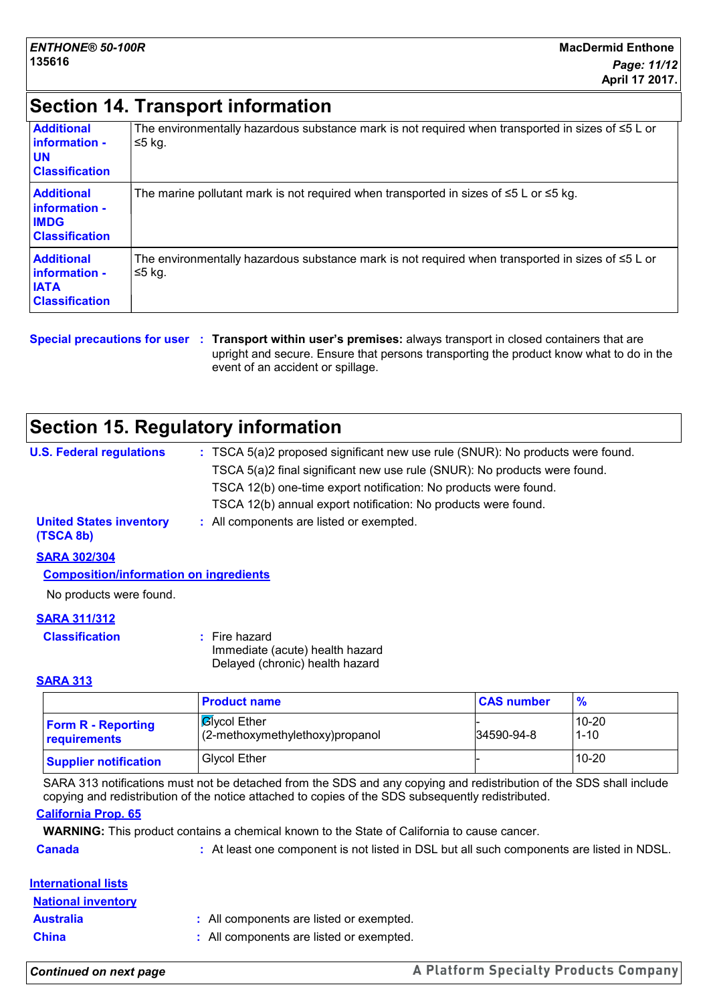## **Section 14. Transport information**

| <b>Additional</b><br>information -<br><b>UN</b><br><b>Classification</b>    | The environmentally hazardous substance mark is not required when transported in sizes of $\leq 5$ L or<br>$≤5$ kg. |
|-----------------------------------------------------------------------------|---------------------------------------------------------------------------------------------------------------------|
| <b>Additional</b><br>linformation -<br><b>IMDG</b><br><b>Classification</b> | The marine pollutant mark is not required when transported in sizes of $\leq 5$ L or $\leq 5$ kg.                   |
| <b>Additional</b><br>linformation -<br><b>IATA</b><br><b>Classification</b> | The environmentally hazardous substance mark is not required when transported in sizes of $\leq 5$ L or<br>≤5 kg.   |

**Special precautions for user Transport within user's premises:** always transport in closed containers that are **:** upright and secure. Ensure that persons transporting the product know what to do in the event of an accident or spillage.

## **Section 15. Regulatory information**

| <b>U.S. Federal regulations</b>             | : TSCA 5(a)2 proposed significant new use rule (SNUR): No products were found. |
|---------------------------------------------|--------------------------------------------------------------------------------|
|                                             | TSCA 5(a)2 final significant new use rule (SNUR): No products were found.      |
|                                             | TSCA 12(b) one-time export notification: No products were found.               |
|                                             | TSCA 12(b) annual export notification: No products were found.                 |
| <b>United States inventory</b><br>(TSCA 8b) | : All components are listed or exempted.                                       |
| <b>SARA 302/304</b>                         |                                                                                |

**Composition/information on ingredients**

No products were found.

#### **SARA 311/312**

| <b>Classification</b> | : Fire hazard                   |
|-----------------------|---------------------------------|
|                       | Immediate (acute) health hazard |
|                       | Delayed (chronic) health hazard |

#### **SARA 313**

|                                           | <b>Product name</b>                                     | <b>CAS number</b> | $\frac{9}{6}$         |
|-------------------------------------------|---------------------------------------------------------|-------------------|-----------------------|
| <b>Form R - Reporting</b><br>requirements | <b>B</b> Ivcol Ether<br>(2-methoxymethylethoxy)propanol | 34590-94-8        | $10 - 20$<br>$1 - 10$ |
| <b>Supplier notification</b>              | <b>Glycol Ether</b>                                     |                   | $10 - 20$             |

SARA 313 notifications must not be detached from the SDS and any copying and redistribution of the SDS shall include copying and redistribution of the notice attached to copies of the SDS subsequently redistributed.

#### **California Prop. 65**

**WARNING:** This product contains a chemical known to the State of California to cause cancer.

**Canada 1998 :** At least one component is not listed in DSL but all such components are listed in NDSL.

#### **International lists**

| <b>National inventory</b> |                                          |
|---------------------------|------------------------------------------|
| <b>Australia</b>          | : All components are listed or exempted. |
| <b>China</b>              | : All components are listed or exempted. |

*Continued on next page*

A Platform Specialty Products Company